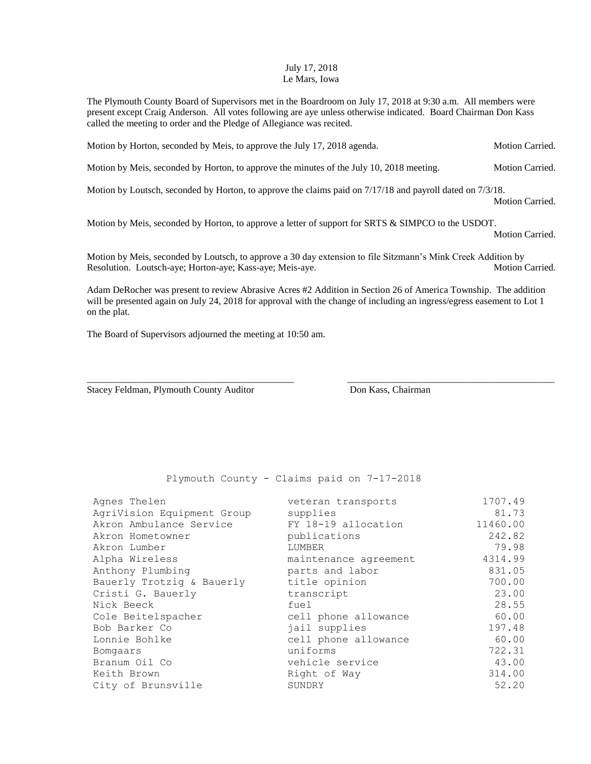## July 17, 2018 Le Mars, Iowa

The Plymouth County Board of Supervisors met in the Boardroom on July 17, 2018 at 9:30 a.m. All members were present except Craig Anderson. All votes following are aye unless otherwise indicated. Board Chairman Don Kass called the meeting to order and the Pledge of Allegiance was recited.

Motion by Horton, seconded by Meis, to approve the July 17, 2018 agenda. Motion Carried.

Motion by Meis, seconded by Horton, to approve the minutes of the July 10, 2018 meeting. Motion Carried.

Motion by Loutsch, seconded by Horton, to approve the claims paid on 7/17/18 and payroll dated on 7/3/18.

Motion Carried.

Motion by Meis, seconded by Horton, to approve a letter of support for SRTS & SIMPCO to the USDOT.

Motion Carried.

Motion by Meis, seconded by Loutsch, to approve a 30 day extension to file Sitzmann's Mink Creek Addition by Resolution. Loutsch-aye; Horton-aye; Kass-aye; Meis-aye. Motion Carried. Motion Carried.

Adam DeRocher was present to review Abrasive Acres #2 Addition in Section 26 of America Township. The addition will be presented again on July 24, 2018 for approval with the change of including an ingress/egress easement to Lot 1 on the plat.

\_\_\_\_\_\_\_\_\_\_\_\_\_\_\_\_\_\_\_\_\_\_\_\_\_\_\_\_\_\_\_\_\_\_\_\_\_\_\_\_\_\_\_ \_\_\_\_\_\_\_\_\_\_\_\_\_\_\_\_\_\_\_\_\_\_\_\_\_\_\_\_\_\_\_\_\_\_\_\_\_\_\_\_\_\_\_

The Board of Supervisors adjourned the meeting at 10:50 am.

Stacey Feldman, Plymouth County Auditor **Don Kass, Chairman** 

Plymouth County - Claims paid on 7-17-2018

| Agnes Thelen               | veteran transports    | 1707.49  |
|----------------------------|-----------------------|----------|
| AgriVision Equipment Group | supplies              | 81.73    |
| Akron Ambulance Service    | FY 18-19 allocation   | 11460.00 |
| Akron Hometowner           | publications          | 242.82   |
| Akron Lumber               | LUMBER                | 79.98    |
| Alpha Wireless             | maintenance agreement | 4314.99  |
| Anthony Plumbing           | parts and labor       | 831.05   |
| Bauerly Trotzig & Bauerly  | title opinion         | 700.00   |
| Cristi G. Bauerly          | transcript            | 23.00    |
| Nick Beeck                 | fuel                  | 28.55    |
| Cole Beitelspacher         | cell phone allowance  | 60.00    |
| Bob Barker Co              | jail supplies         | 197.48   |
| Lonnie Bohlke              | cell phone allowance  | 60.00    |
| Bomgaars                   | uniforms              | 722.31   |
| Branum Oil Co              | vehicle service       | 43.00    |
| Keith Brown                | Right of Way          | 314.00   |
| City of Brunsville         | SUNDRY                | 52.20    |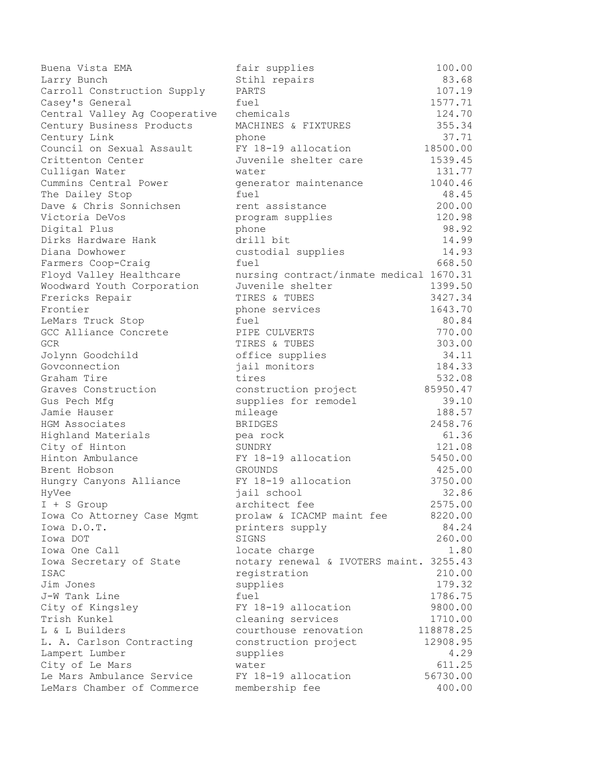| Buena Vista EMA               | fair supplies                              | 100.00         |
|-------------------------------|--------------------------------------------|----------------|
| Larry Bunch                   | Stihl repairs                              | 83.68          |
| Carroll Construction Supply   | PARTS                                      | 107.19         |
| Casey's General               | fuel                                       | 1577.71        |
| Central Valley Ag Cooperative | chemicals                                  | 124.70         |
| Century Business Products     | MACHINES & FIXTURES                        | 355.34         |
| Century Link                  | phone                                      | 37.71          |
| Council on Sexual Assault     | FY 18-19 allocation                        | 18500.00       |
| Crittenton Center             | Juvenile shelter care                      | 1539.45        |
| Culligan Water                | water                                      | 131.77         |
| Cummins Central Power         | generator maintenance                      | 1040.46        |
| The Dailey Stop               | fuel                                       | 48.45          |
| Dave & Chris Sonnichsen       | rent assistance                            | 200.00         |
| Victoria DeVos                | program supplies                           | 120.98         |
| Digital Plus                  | phone                                      | 98.92          |
| Dirks Hardware Hank           | drill bit                                  | 14.99          |
| Diana Dowhower                | custodial supplies                         | 14.93          |
| Farmers Coop-Craig            | fuel                                       | 668.50         |
| Floyd Valley Healthcare       | nursing contract/inmate medical 1670.31    |                |
| Woodward Youth Corporation    | Juvenile shelter                           | 1399.50        |
| Frericks Repair               | TIRES & TUBES                              | 3427.34        |
| Frontier                      | phone services                             | 1643.70        |
| LeMars Truck Stop             | fuel                                       | 80.84          |
| GCC Alliance Concrete         | PIPE CULVERTS                              | 770.00         |
| GCR.                          | TIRES & TUBES                              | 303.00         |
| Jolynn Goodchild              | office supplies                            | 34.11          |
| Govconnection                 | jail monitors                              | 184.33         |
| Graham Tire                   | tires                                      | 532.08         |
| Graves Construction           | construction project                       | 85950.47       |
| Gus Pech Mfg                  | supplies for remodel                       | 39.10          |
| Jamie Hauser                  | mileage                                    | 188.57         |
| HGM Associates                | <b>BRIDGES</b>                             | 2458.76        |
| Highland Materials            | pea rock                                   | 61.36          |
| City of Hinton                | SUNDRY                                     | 121.08         |
| Hinton Ambulance              | FY 18-19 allocation                        | 5450.00        |
| Brent Hobson                  | <b>GROUNDS</b>                             | 425.00         |
| Hungry Canyons Alliance       | FY 18-19 allocation                        | 3750.00        |
| HyVee                         | jail school                                | 32.86          |
| $I + S$ Group                 | architect fee                              | 2575.00        |
| Iowa Co Attorney Case Mgmt    | prolaw & ICACMP maint fee                  | 8220.00        |
| Iowa D.O.T.                   | printers supply                            | 84.24          |
| Iowa DOT                      | SIGNS                                      | 260.00         |
| Iowa One Call                 | locate charge                              | 1.80           |
| Iowa Secretary of State       | notary renewal & IVOTERS maint. 3255.43    |                |
| <b>ISAC</b>                   | registration                               | 210.00         |
| Jim Jones                     | supplies                                   | 179.32         |
| J-W Tank Line                 | fuel                                       | 1786.75        |
| City of Kingsley              | FY 18-19 allocation                        | 9800.00        |
| Trish Kunkel                  |                                            | 1710.00        |
| L & L Builders                | cleaning services<br>courthouse renovation | 118878.25      |
|                               |                                            |                |
| L. A. Carlson Contracting     | construction project                       | 12908.95       |
| Lampert Lumber                | supplies                                   | 4.29<br>611.25 |
| City of Le Mars               | water                                      |                |
| Le Mars Ambulance Service     | FY 18-19 allocation                        | 56730.00       |
| LeMars Chamber of Commerce    | membership fee                             | 400.00         |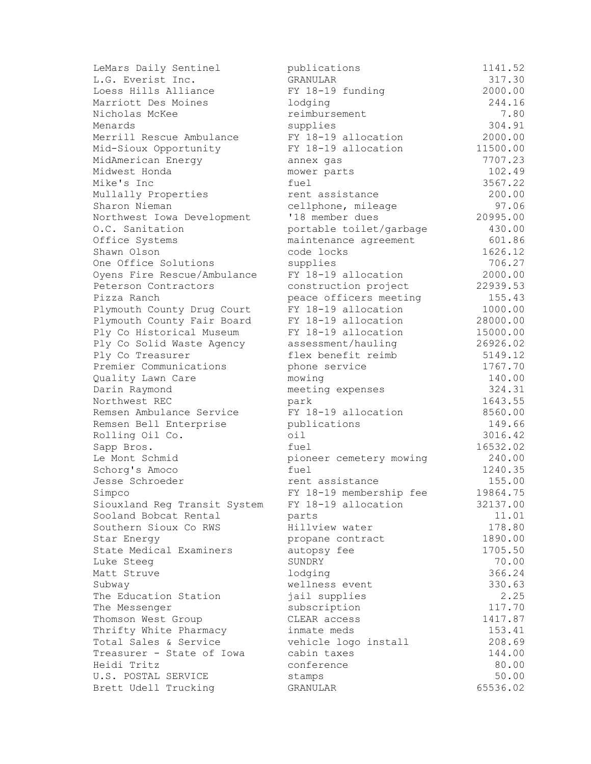| LeMars Daily Sentinel                           | publications              | 1141.52         |
|-------------------------------------------------|---------------------------|-----------------|
| L.G. Everist Inc.                               | GRANULAR                  | 317.30          |
| Loess Hills Alliance                            | FY 18-19 funding          | 2000.00         |
| Marriott Des Moines                             | lodging                   | 244.16          |
| Nicholas McKee                                  | reimbursement             | 7.80            |
| Menards                                         | supplies                  | 304.91          |
| Merrill Rescue Ambulance                        | FY 18-19 allocation       | 2000.00         |
| Mid-Sioux Opportunity                           | FY 18-19 allocation       | 11500.00        |
| MidAmerican Energy                              | annex gas                 | 7707.23         |
| Midwest Honda                                   | mower parts               | 102.49          |
| Mike's Inc                                      | fuel                      | 3567.22         |
| Mullally Properties                             | rent assistance           | 200.00          |
| Sharon Nieman                                   | cellphone, mileage        | 97.06           |
| Northwest Iowa Development                      | '18 member dues           | 20995.00        |
| O.C. Sanitation                                 | portable toilet/garbage   | 430.00          |
| Office Systems                                  | maintenance agreement     | 601.86          |
| Shawn Olson                                     | code locks                | 1626.12         |
| One Office Solutions                            | supplies                  | 706.27          |
| Oyens Fire Rescue/Ambulance                     | FY 18-19 allocation       | 2000.00         |
| Peterson Contractors                            | construction project      | 22939.53        |
| Pizza Ranch                                     | peace officers meeting    | 155.43          |
| Plymouth County Drug Court                      | FY 18-19 allocation       | 1000.00         |
| Plymouth County Fair Board                      | FY 18-19 allocation       | 28000.00        |
| Ply Co Historical Museum                        | FY 18-19 allocation       | 15000.00        |
| Ply Co Solid Waste Agency                       | assessment/hauling        | 26926.02        |
| Ply Co Treasurer                                | flex benefit reimb        | 5149.12         |
| Premier Communications                          | phone service             | 1767.70         |
| Quality Lawn Care                               | mowing                    | 140.00          |
| Darin Raymond                                   | meeting expenses          | 324.31          |
| Northwest REC                                   | park                      | 1643.55         |
| Remsen Ambulance Service                        | FY 18-19 allocation       | 8560.00         |
| Remsen Bell Enterprise                          | publications              | 149.66          |
| Rolling Oil Co.                                 | $\circ i1$                | 3016.42         |
| Sapp Bros.                                      | fuel                      | 16532.02        |
| Le Mont Schmid                                  | pioneer cemetery mowing   | 240.00          |
| Schorg's Amoco                                  | fuel                      | 1240.35         |
| Jesse Schroeder                                 | rent assistance           | 155.00          |
| Simpco                                          | FY 18-19 membership fee   | 19864.75        |
| Siouxland Reg Transit System                    | FY 18-19 allocation       | 32137.00        |
| Sooland Bobcat Rental                           | parts                     | 11.01           |
| Southern Sioux Co RWS                           | Hillview water            | 178.80          |
| Star Energy                                     | propane contract          | 1890.00         |
| State Medical Examiners                         | autopsy fee               | 1705.50         |
| Luke Steeg                                      | SUNDRY                    | 70.00           |
| Matt Struve                                     | lodging                   | 366.24          |
| Subway                                          | wellness event            | 330.63          |
| The Education Station                           | jail supplies             | 2.25            |
| The Messenger                                   | subscription              | 117.70          |
| Thomson West Group                              | CLEAR access              | 1417.87         |
|                                                 | inmate meds               | 153.41          |
| Thrifty White Pharmacy<br>Total Sales & Service |                           | 208.69          |
| Treasurer - State of Iowa                       | vehicle logo install      |                 |
| Heidi Tritz                                     | cabin taxes<br>conference | 144.00<br>80.00 |
| U.S. POSTAL SERVICE                             |                           | 50.00           |
|                                                 | stamps                    | 65536.02        |
| Brett Udell Trucking                            | GRANULAR                  |                 |